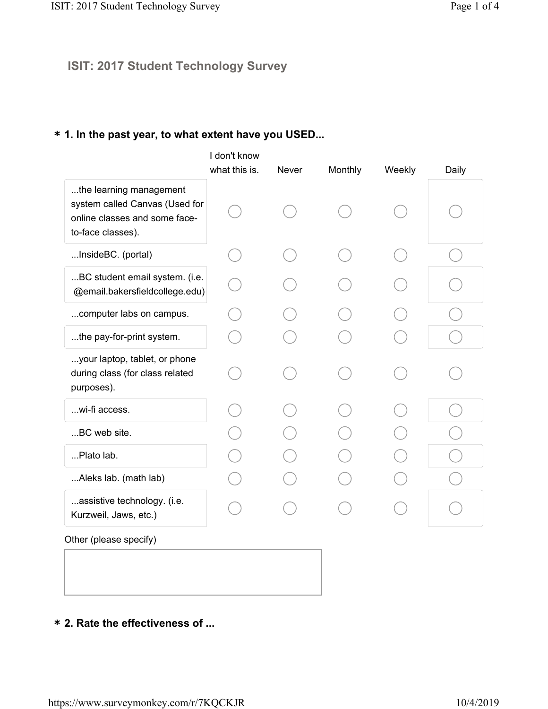### **ISIT: 2017 Student Technology Survey**

### **\* 1. In the past year, to what extent have you USED...**

|                                                                                                                 | I don't know  |       |         |        |       |
|-----------------------------------------------------------------------------------------------------------------|---------------|-------|---------|--------|-------|
|                                                                                                                 | what this is. | Never | Monthly | Weekly | Daily |
| the learning management<br>system called Canvas (Used for<br>online classes and some face-<br>to-face classes). |               |       |         |        |       |
| InsideBC. (portal)                                                                                              |               |       |         |        |       |
| BC student email system. (i.e.<br>@email.bakersfieldcollege.edu)                                                |               |       |         |        |       |
| computer labs on campus.                                                                                        |               |       |         |        |       |
| the pay-for-print system.                                                                                       |               |       |         |        |       |
| your laptop, tablet, or phone<br>during class (for class related<br>purposes).                                  |               |       |         |        |       |
| wi-fi access.                                                                                                   |               |       |         |        |       |
| BC web site.                                                                                                    |               |       |         |        |       |
| Plato lab.                                                                                                      |               |       |         |        |       |
| Aleks lab. (math lab)                                                                                           |               |       |         |        |       |
| assistive technology. (i.e.<br>Kurzweil, Jaws, etc.)                                                            |               |       |         |        |       |
| Other (please specify)                                                                                          |               |       |         |        |       |

**\* 2. Rate the effectiveness of ...**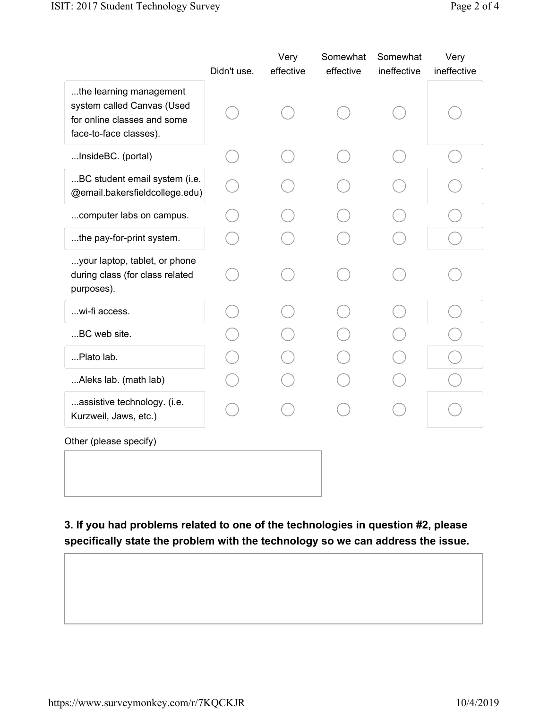|                                                                                                                | Didn't use. | Very<br>effective | Somewhat<br>effective | Somewhat<br>ineffective | Very<br>ineffective |
|----------------------------------------------------------------------------------------------------------------|-------------|-------------------|-----------------------|-------------------------|---------------------|
| the learning management<br>system called Canvas (Used<br>for online classes and some<br>face-to-face classes). |             |                   |                       |                         |                     |
| InsideBC. (portal)                                                                                             |             |                   |                       |                         |                     |
| BC student email system (i.e.<br>@email.bakersfieldcollege.edu)                                                |             |                   |                       |                         |                     |
| computer labs on campus.                                                                                       |             |                   |                       |                         |                     |
| the pay-for-print system.                                                                                      |             |                   |                       |                         |                     |
| your laptop, tablet, or phone<br>during class (for class related<br>purposes).                                 |             |                   |                       |                         |                     |
| wi-fi access.                                                                                                  |             |                   |                       |                         |                     |
| BC web site.                                                                                                   |             |                   |                       |                         |                     |
| Plato lab.                                                                                                     |             |                   |                       |                         |                     |
| Aleks lab. (math lab)                                                                                          |             |                   |                       |                         |                     |
| assistive technology. (i.e.<br>Kurzweil, Jaws, etc.)                                                           |             |                   |                       |                         |                     |
| Other (please specify)                                                                                         |             |                   |                       |                         |                     |
|                                                                                                                |             |                   |                       |                         |                     |
|                                                                                                                |             |                   |                       |                         |                     |

**3. If you had problems related to one of the technologies in question #2, please specifically state the problem with the technology so we can address the issue.**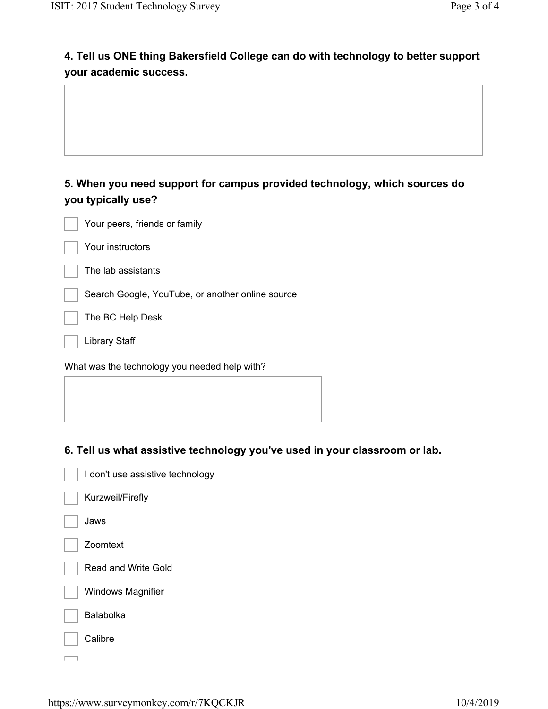# **4. Tell us ONE thing Bakersfield College can do with technology to better support your academic success.**

## **5. When you need support for campus provided technology, which sources do you typically use?**

| Your peers, friends or family |
|-------------------------------|
| Your instructors              |
| The lab assistants            |

Search Google, YouTube, or another online source

The BC Help Desk

Library Staff

What was the technology you needed help with?

#### **6. Tell us what assistive technology you've used in your classroom or lab.**

| I don't use assistive technology |
|----------------------------------|
| Kurzweil/Firefly                 |
| Jaws                             |
| Zoomtext                         |
| Read and Write Gold              |
| Windows Magnifier                |
| Balabolka                        |
| Calibre                          |
|                                  |